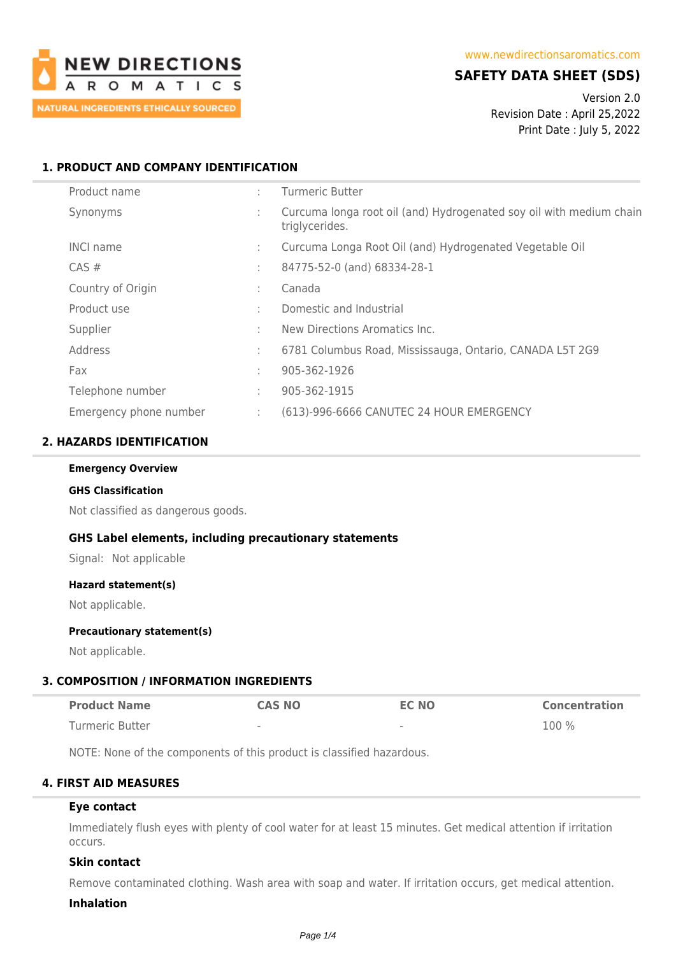

# **SAFETY DATA SHEET (SDS)**

Version 2.0 Revision Date : April 25,2022 Print Date : July 5, 2022

### **1. PRODUCT AND COMPANY IDENTIFICATION**

| Product name           | ٠.     | <b>Turmeric Butter</b>                                                                |
|------------------------|--------|---------------------------------------------------------------------------------------|
| Synonyms               | ÷.     | Curcuma longa root oil (and) Hydrogenated soy oil with medium chain<br>triglycerides. |
| <b>INCI name</b>       | t.     | Curcuma Longa Root Oil (and) Hydrogenated Vegetable Oil                               |
| $CAS \#$               | $\sim$ | 84775-52-0 (and) 68334-28-1                                                           |
| Country of Origin      | ٠      | Canada                                                                                |
| Product use            | $\sim$ | Domestic and Industrial                                                               |
| Supplier               | ٠.     | New Directions Aromatics Inc.                                                         |
| Address                | ÷      | 6781 Columbus Road, Mississauga, Ontario, CANADA L5T 2G9                              |
| Fax                    | t.     | 905-362-1926                                                                          |
| Telephone number       | ÷      | 905-362-1915                                                                          |
| Emergency phone number | ÷.     | (613)-996-6666 CANUTEC 24 HOUR EMERGENCY                                              |

### **2. HAZARDS IDENTIFICATION**

#### **Emergency Overview**

#### **GHS Classification**

Not classified as dangerous goods.

### **GHS Label elements, including precautionary statements**

Signal: Not applicable

#### **Hazard statement(s)**

Not applicable.

#### **Precautionary statement(s)**

Not applicable.

### **3. COMPOSITION / INFORMATION INGREDIENTS**

| <b>Product Name</b> | <b>CAS NO</b> | EC NO  | <b>Concentration</b> |
|---------------------|---------------|--------|----------------------|
| Turmeric Butter     | $\,$          | $\sim$ | $100\%$              |

NOTE: None of the components of this product is classified hazardous.

### **4. FIRST AID MEASURES**

### **Eye contact**

Immediately flush eyes with plenty of cool water for at least 15 minutes. Get medical attention if irritation occurs.

### **Skin contact**

Remove contaminated clothing. Wash area with soap and water. If irritation occurs, get medical attention.

#### **Inhalation**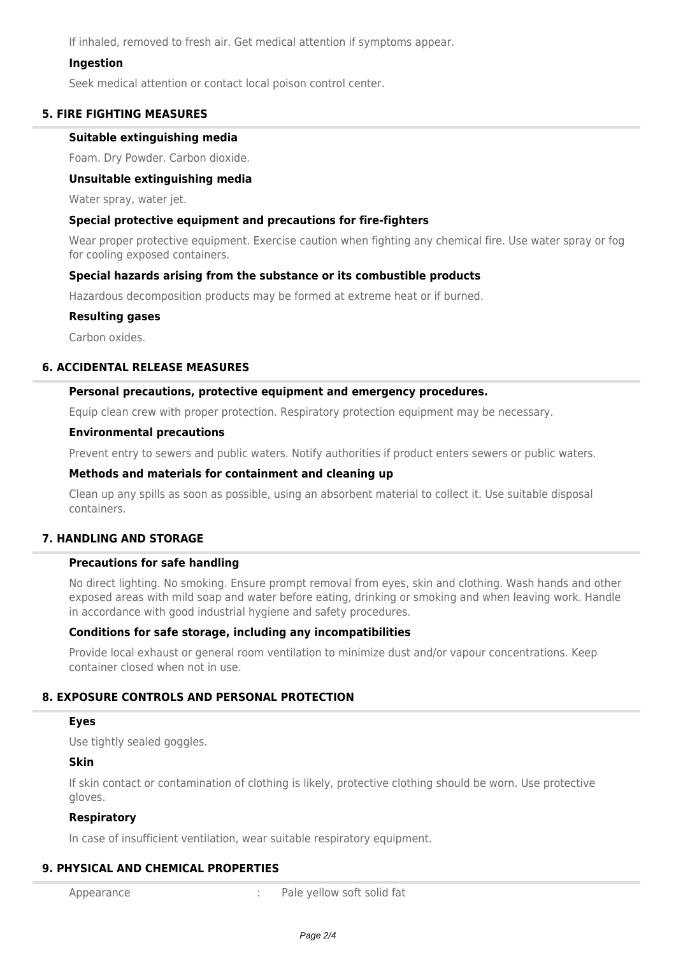If inhaled, removed to fresh air. Get medical attention if symptoms appear.

### **Ingestion**

Seek medical attention or contact local poison control center.

### **5. FIRE FIGHTING MEASURES**

### **Suitable extinguishing media**

Foam. Dry Powder. Carbon dioxide.

### **Unsuitable extinguishing media**

Water spray, water jet.

### **Special protective equipment and precautions for fire-fighters**

Wear proper protective equipment. Exercise caution when fighting any chemical fire. Use water spray or fog for cooling exposed containers.

### **Special hazards arising from the substance or its combustible products**

Hazardous decomposition products may be formed at extreme heat or if burned.

### **Resulting gases**

Carbon oxides.

### **6. ACCIDENTAL RELEASE MEASURES**

### **Personal precautions, protective equipment and emergency procedures.**

Equip clean crew with proper protection. Respiratory protection equipment may be necessary.

#### **Environmental precautions**

Prevent entry to sewers and public waters. Notify authorities if product enters sewers or public waters.

#### **Methods and materials for containment and cleaning up**

Clean up any spills as soon as possible, using an absorbent material to collect it. Use suitable disposal containers.

### **7. HANDLING AND STORAGE**

### **Precautions for safe handling**

No direct lighting. No smoking. Ensure prompt removal from eyes, skin and clothing. Wash hands and other exposed areas with mild soap and water before eating, drinking or smoking and when leaving work. Handle in accordance with good industrial hygiene and safety procedures.

### **Conditions for safe storage, including any incompatibilities**

Provide local exhaust or general room ventilation to minimize dust and/or vapour concentrations. Keep container closed when not in use.

## **8. EXPOSURE CONTROLS AND PERSONAL PROTECTION**

### **Eyes**

Use tightly sealed goggles.

### **Skin**

If skin contact or contamination of clothing is likely, protective clothing should be worn. Use protective gloves.

### **Respiratory**

In case of insufficient ventilation, wear suitable respiratory equipment.

### **9. PHYSICAL AND CHEMICAL PROPERTIES**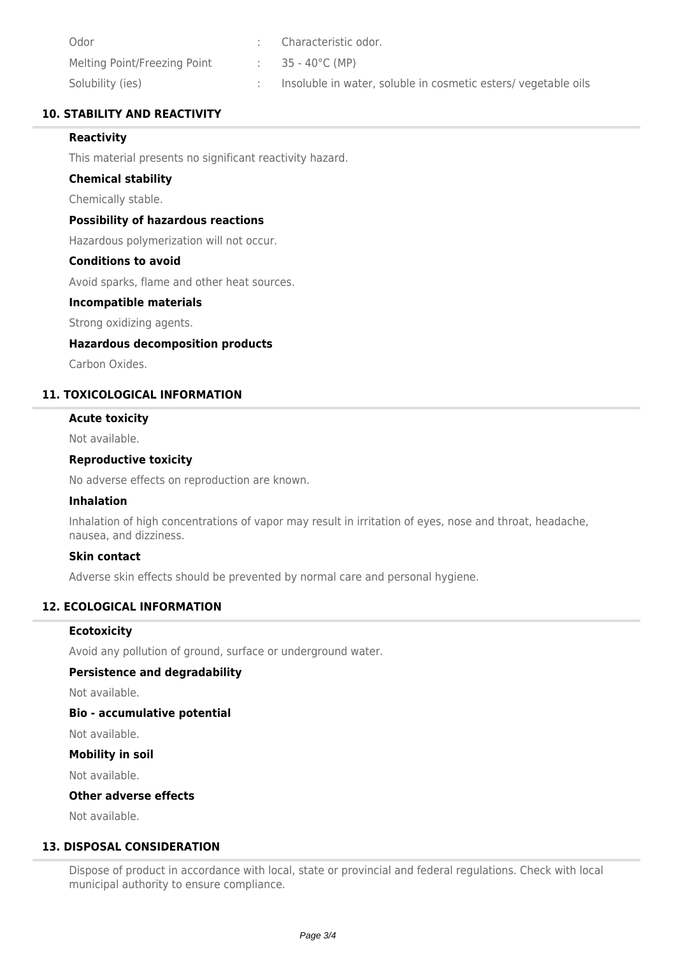| Odor                         | Characteristic odor.                                          |
|------------------------------|---------------------------------------------------------------|
| Melting Point/Freezing Point | 35 - 40°C (MP)                                                |
| Solubility (ies)             | Insoluble in water, soluble in cosmetic esters/vegetable oils |

## **10. STABILITY AND REACTIVITY**

## **Reactivity**

This material presents no significant reactivity hazard.

### **Chemical stability**

Chemically stable.

### **Possibility of hazardous reactions**

Hazardous polymerization will not occur.

### **Conditions to avoid**

Avoid sparks, flame and other heat sources.

### **Incompatible materials**

Strong oxidizing agents.

### **Hazardous decomposition products**

Carbon Oxides.

# **11. TOXICOLOGICAL INFORMATION**

## **Acute toxicity**

Not available.

### **Reproductive toxicity**

No adverse effects on reproduction are known.

### **Inhalation**

Inhalation of high concentrations of vapor may result in irritation of eyes, nose and throat, headache, nausea, and dizziness.

### **Skin contact**

Adverse skin effects should be prevented by normal care and personal hygiene.

## **12. ECOLOGICAL INFORMATION**

## **Ecotoxicity**

Avoid any pollution of ground, surface or underground water.

### **Persistence and degradability**

Not available.

## **Bio - accumulative potential**

Not available.

## **Mobility in soil**

Not available.

### **Other adverse effects**

Not available.

## **13. DISPOSAL CONSIDERATION**

Dispose of product in accordance with local, state or provincial and federal regulations. Check with local municipal authority to ensure compliance.